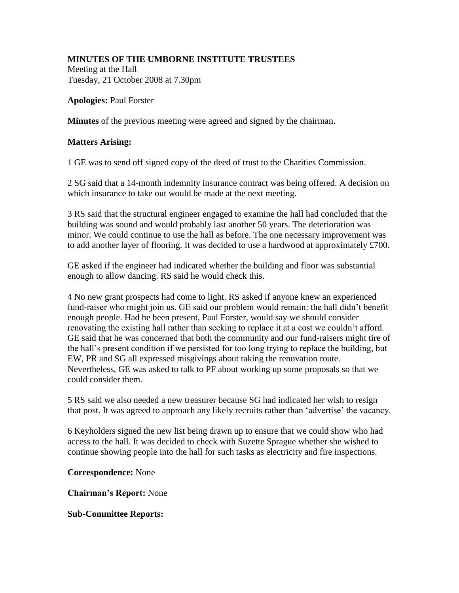## **MINUTES OF THE UMBORNE INSTITUTE TRUSTEES**

Meeting at the Hall Tuesday, 21 October 2008 at 7.30pm

## **Apologies:** Paul Forster

**Minutes** of the previous meeting were agreed and signed by the chairman.

## **Matters Arising:**

1 GE was to send off signed copy of the deed of trust to the Charities Commission.

2 SG said that a 14-month indemnity insurance contract was being offered. A decision on which insurance to take out would be made at the next meeting.

3 RS said that the structural engineer engaged to examine the hall had concluded that the building was sound and would probably last another 50 years. The deterioration was minor. We could continue to use the hall as before. The one necessary improvement was to add another layer of flooring. It was decided to use a hardwood at approximately £700.

GE asked if the engineer had indicated whether the building and floor was substantial enough to allow dancing. RS said he would check this.

4 No new grant prospects had come to light. RS asked if anyone knew an experienced fund-raiser who might join us. GE said our problem would remain: the hall didn't benefit enough people. Had he been present, Paul Forster, would say we should consider renovating the existing hall rather than seeking to replace it at a cost we couldn't afford. GE said that he was concerned that both the community and our fund-raisers might tire of the hall's present condition if we persisted for too long trying to replace the building, but EW, PR and SG all expressed misgivings about taking the renovation route. Nevertheless, GE was asked to talk to PF about working up some proposals so that we could consider them.

5 RS said we also needed a new treasurer because SG had indicated her wish to resign that post. It was agreed to approach any likely recruits rather than 'advertise' the vacancy.

6 Keyholders signed the new list being drawn up to ensure that we could show who had access to the hall. It was decided to check with Suzette Sprague whether she wished to continue showing people into the hall for such tasks as electricity and fire inspections.

**Correspondence:** None

**Chairman's Report:** None

**Sub-Committee Reports:**